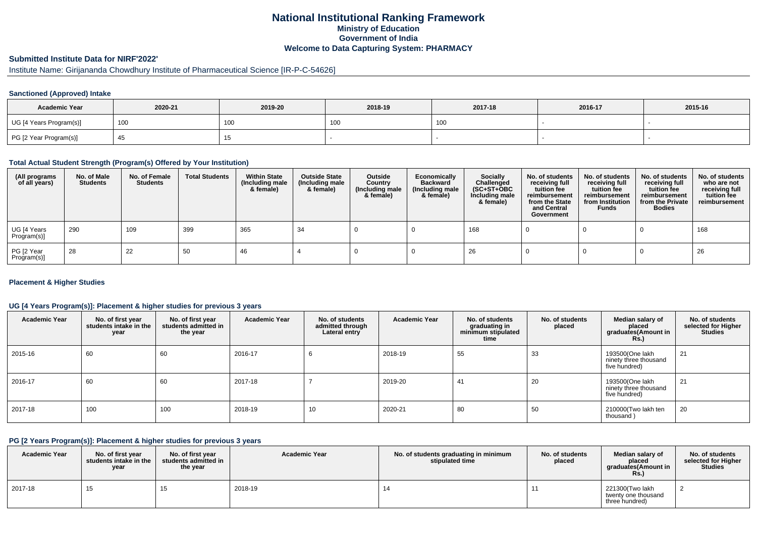## **National Institutional Ranking FrameworkMinistry of Education Government of IndiaWelcome to Data Capturing System: PHARMACY**

### **Submitted Institute Data for NIRF'2022'**

# Institute Name: Girijananda Chowdhury Institute of Pharmaceutical Science [IR-P-C-54626]

### **Sanctioned (Approved) Intake**

| <b>Academic Year</b>    | 2020-21 | 2019-20         | 2018-19 | 2017-18         | 2016-17 | 2015-16 |
|-------------------------|---------|-----------------|---------|-----------------|---------|---------|
| UG [4 Years Program(s)] | 100     | 10 <sub>C</sub> | าบน     | 10 <sub>C</sub> |         |         |
| PG [2 Year Program(s)]  |         |                 |         |                 |         |         |

#### **Total Actual Student Strength (Program(s) Offered by Your Institution)**

| (All programs<br>of all years) | No. of Male<br><b>Students</b> | No. of Female<br>Students | <b>Total Students</b> | <b>Within State</b><br>(Including male<br>& female) | <b>Outside State</b><br>(Including male<br>& female) | Outside<br>Country<br>(Including male<br>& female) | Economically<br>Backward<br>(Including male<br>& female) | <b>Socially</b><br>Challenged<br>$(SC+ST+OBC)$<br>Including male<br>& female) | No. of students<br>receiving full<br>tuition fee<br>reimbursement<br>from the State<br>and Central<br>Government | No. of students<br>receiving full<br>tuition fee<br>reimbursement<br>from Institution<br><b>Funds</b> | No. of students<br>receiving full<br>tuition fee<br>reimbursement<br>from the Private<br><b>Bodies</b> | No. of students<br>who are not<br>receiving full<br>tuition fee<br>reimbursement |
|--------------------------------|--------------------------------|---------------------------|-----------------------|-----------------------------------------------------|------------------------------------------------------|----------------------------------------------------|----------------------------------------------------------|-------------------------------------------------------------------------------|------------------------------------------------------------------------------------------------------------------|-------------------------------------------------------------------------------------------------------|--------------------------------------------------------------------------------------------------------|----------------------------------------------------------------------------------|
| UG [4 Years<br>Program(s)]     | 290                            | 109                       | 399                   | 365                                                 | -34                                                  |                                                    |                                                          | 168                                                                           |                                                                                                                  |                                                                                                       |                                                                                                        | 168                                                                              |
| PG [2 Year<br>Program(s)]      | 28                             | 22                        | 50                    | 46                                                  |                                                      |                                                    |                                                          | 26                                                                            |                                                                                                                  |                                                                                                       |                                                                                                        | 26                                                                               |

### **Placement & Higher Studies**

### **UG [4 Years Program(s)]: Placement & higher studies for previous 3 years**

| <b>Academic Year</b> | No. of first year<br>students intake in the<br>year | No. of first year<br>students admitted in<br>the year | <b>Academic Year</b> | No. of students<br>admitted through<br>Lateral entry | <b>Academic Year</b> | No. of students<br>graduating in<br>minimum stipulated<br>time | No. of students<br>placed | Median salary of<br>placed<br>graduates(Amount in<br><b>Rs.</b> ) | No. of students<br>selected for Higher<br><b>Studies</b> |
|----------------------|-----------------------------------------------------|-------------------------------------------------------|----------------------|------------------------------------------------------|----------------------|----------------------------------------------------------------|---------------------------|-------------------------------------------------------------------|----------------------------------------------------------|
| 2015-16              | 60                                                  | 60                                                    | 2016-17              |                                                      | 2018-19              | 55                                                             | 33                        | 193500(One lakh<br>ninety three thousand<br>five hundred)         | 21                                                       |
| 2016-17              | 60                                                  | 60                                                    | 2017-18              |                                                      | 2019-20              | 41                                                             | 20                        | 193500(One lakh<br>ninety three thousand<br>five hundred)         | 21                                                       |
| 2017-18              | 100                                                 | 100                                                   | 2018-19              | 10                                                   | 2020-21              | 80                                                             | 50                        | 210000(Two lakh ten<br>thousand)                                  | 20                                                       |

#### **PG [2 Years Program(s)]: Placement & higher studies for previous 3 years**

| <b>Academic Year</b> | No. of first year<br>students intake in the I<br>year | No. of first year<br>students admitted in<br>the year | <b>Academic Year</b> | No. of students graduating in minimum<br>stipulated time | No. of students<br>placed | Median salary of<br>placed<br>graduates(Amount in<br><b>Rs.</b> ) | No. of students<br>selected for Higher<br><b>Studies</b> |
|----------------------|-------------------------------------------------------|-------------------------------------------------------|----------------------|----------------------------------------------------------|---------------------------|-------------------------------------------------------------------|----------------------------------------------------------|
| 2017-18              | ں ا                                                   |                                                       | 2018-19              | 14                                                       |                           | 221300(Two lakh<br>twenty one thousand<br>three hundred)          |                                                          |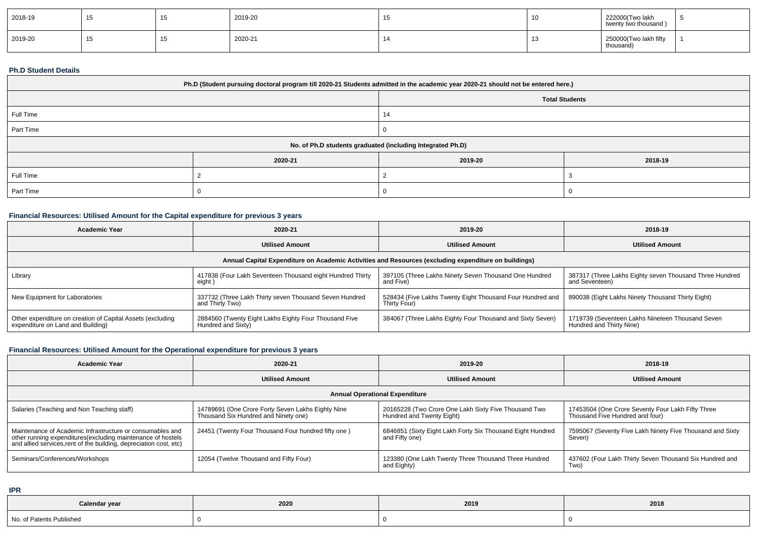| 2018-19 | ⊣ ບ | 2019-20 |  | 222000(Two lakh<br>twenty two thousand) |  |
|---------|-----|---------|--|-----------------------------------------|--|
| 2019-20 | ن ا | 2020-21 |  | 250000(Two lakh fifty<br>thousand)      |  |

### **Ph.D Student Details**

| Ph.D (Student pursuing doctoral program till 2020-21 Students admitted in the academic year 2020-21 should not be entered here.) |                                                            |                       |         |  |  |  |  |
|----------------------------------------------------------------------------------------------------------------------------------|------------------------------------------------------------|-----------------------|---------|--|--|--|--|
|                                                                                                                                  |                                                            | <b>Total Students</b> |         |  |  |  |  |
| Full Time                                                                                                                        |                                                            | 14                    |         |  |  |  |  |
| Part Time                                                                                                                        |                                                            |                       |         |  |  |  |  |
|                                                                                                                                  | No. of Ph.D students graduated (including Integrated Ph.D) |                       |         |  |  |  |  |
|                                                                                                                                  | 2020-21                                                    | 2019-20               | 2018-19 |  |  |  |  |
| Full Time                                                                                                                        |                                                            |                       |         |  |  |  |  |
| Part Time                                                                                                                        |                                                            |                       |         |  |  |  |  |

## **Financial Resources: Utilised Amount for the Capital expenditure for previous 3 years**

| Academic Year                                                                                        | 2020-21                                                                     | 2019-20                                                                   | 2018-19                                                                      |  |  |  |  |
|------------------------------------------------------------------------------------------------------|-----------------------------------------------------------------------------|---------------------------------------------------------------------------|------------------------------------------------------------------------------|--|--|--|--|
|                                                                                                      | <b>Utilised Amount</b>                                                      | <b>Utilised Amount</b>                                                    | <b>Utilised Amount</b>                                                       |  |  |  |  |
| Annual Capital Expenditure on Academic Activities and Resources (excluding expenditure on buildings) |                                                                             |                                                                           |                                                                              |  |  |  |  |
| Library                                                                                              | 417838 (Four Lakh Seventeen Thousand eight Hundred Thirty<br>eight )        | 397105 (Three Lakhs Ninety Seven Thousand One Hundred<br>and Five)        | 387317 (Three Lakhs Eighty seven Thousand Three Hundred<br>and Seventeen)    |  |  |  |  |
| New Equipment for Laboratories                                                                       | 337732 (Three Lakh Thirty seven Thousand Seven Hundred<br>and Thirty Two)   | 528434 (Five Lakhs Twenty Eight Thousand Four Hundred and<br>Thirty Four) | 890038 (Eight Lakhs Ninety Thousand Thirty Eight)                            |  |  |  |  |
| Other expenditure on creation of Capital Assets (excluding<br>expenditure on Land and Building)      | 2884560 (Twenty Eight Lakhs Eighty Four Thousand Five<br>Hundred and Sixty) | 384067 (Three Lakhs Eighty Four Thousand and Sixty Seven)                 | 1719739 (Seventeen Lakhs Nineteen Thousand Seven<br>Hundred and Thirty Nine) |  |  |  |  |

# **Financial Resources: Utilised Amount for the Operational expenditure for previous 3 years**

| <b>Academic Year</b>                                                                                                                                                                            | 2020-21                                                                                   | 2019-20                                                                           | 2018-19                                                                              |  |  |  |  |
|-------------------------------------------------------------------------------------------------------------------------------------------------------------------------------------------------|-------------------------------------------------------------------------------------------|-----------------------------------------------------------------------------------|--------------------------------------------------------------------------------------|--|--|--|--|
|                                                                                                                                                                                                 | <b>Utilised Amount</b>                                                                    | <b>Utilised Amount</b>                                                            | <b>Utilised Amount</b>                                                               |  |  |  |  |
| <b>Annual Operational Expenditure</b>                                                                                                                                                           |                                                                                           |                                                                                   |                                                                                      |  |  |  |  |
| Salaries (Teaching and Non Teaching staff)                                                                                                                                                      | 14789691 (One Crore Forty Seven Lakhs Eighty Nine<br>Thousand Six Hundred and Ninety one) | 20165228 (Two Crore One Lakh Sixty Five Thousand Two<br>Hundred and Twenty Eight) | 17453504 (One Crore Seventy Four Lakh Fifty Three<br>Thousand Five Hundred and four) |  |  |  |  |
| Maintenance of Academic Infrastructure or consumables and<br>other running expenditures (excluding maintenance of hostels<br>and allied services, rent of the building, depreciation cost, etc) | 24451 (Twenty Four Thousand Four hundred fifty one)                                       | 6846851 (Sixty Eight Lakh Forty Six Thousand Eight Hundred<br>and Fifty one)      | 7595067 (Seventy Five Lakh Ninety Five Thousand and Sixty<br>Seven)                  |  |  |  |  |
| Seminars/Conferences/Workshops                                                                                                                                                                  | 12054 (Twelve Thousand and Fifty Four)                                                    | 123380 (One Lakh Twenty Three Thousand Three Hundred<br>and Eighty)               | 437602 (Four Lakh Thirty Seven Thousand Six Hundred and<br>Two)                      |  |  |  |  |

**IPR**

| Calendar year            | 2020 | 2019 | 2018 |
|--------------------------|------|------|------|
| No. of Patents Published |      |      |      |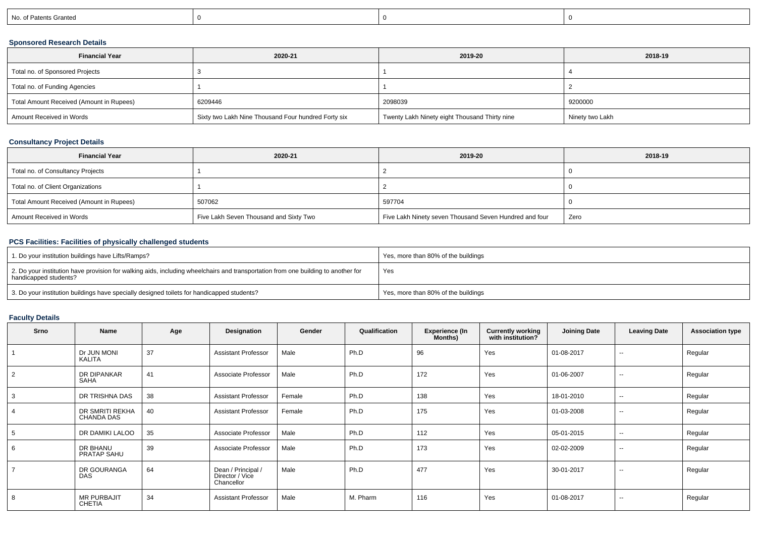| No. of Patents Granted |  |  |
|------------------------|--|--|
|                        |  |  |

### **Sponsored Research Details**

| <b>Financial Year</b>                    | 2020-21                                             | 2019-20                                       | 2018-19         |
|------------------------------------------|-----------------------------------------------------|-----------------------------------------------|-----------------|
| Total no. of Sponsored Projects          |                                                     |                                               |                 |
| Total no. of Funding Agencies            |                                                     |                                               |                 |
| Total Amount Received (Amount in Rupees) | 6209446                                             | 2098039                                       | 9200000         |
| Amount Received in Words                 | Sixty two Lakh Nine Thousand Four hundred Forty six | Twenty Lakh Ninety eight Thousand Thirty nine | Ninety two Lakh |

### **Consultancy Project Details**

| <b>Financial Year</b>                    | 2020-21                                | 2019-20                                                | 2018-19 |
|------------------------------------------|----------------------------------------|--------------------------------------------------------|---------|
| Total no. of Consultancy Projects        |                                        |                                                        |         |
| Total no. of Client Organizations        |                                        |                                                        |         |
| Total Amount Received (Amount in Rupees) | 507062                                 | 597704                                                 |         |
| Amount Received in Words                 | Five Lakh Seven Thousand and Sixty Two | Five Lakh Ninety seven Thousand Seven Hundred and four | Zero    |

### **PCS Facilities: Facilities of physically challenged students**

| 1. Do your institution buildings have Lifts/Ramps?                                                                                                                      | Yes, more than 80% of the buildings |
|-------------------------------------------------------------------------------------------------------------------------------------------------------------------------|-------------------------------------|
| $\frac{1}{2}$ . Do your institution have provision for walking aids, including wheelchairs and transportation from one building to another for<br>handicapped students? | Yes                                 |
| 3. Do your institution buildings have specially designed toilets for handicapped students?                                                                              | Yes, more than 80% of the buildings |

# **Faculty Details**

| Srno           | Name                                 | Age | Designation                                         | Gender | Qualification | <b>Experience (In</b><br>Months) | <b>Currently working</b><br>with institution? | <b>Joining Date</b> | <b>Leaving Date</b> | <b>Association type</b> |
|----------------|--------------------------------------|-----|-----------------------------------------------------|--------|---------------|----------------------------------|-----------------------------------------------|---------------------|---------------------|-------------------------|
|                | Dr JUN MONI<br>KALITA                | 37  | <b>Assistant Professor</b>                          | Male   | Ph.D          | 96                               | Yes                                           | 01-08-2017          | $\sim$              | Regular                 |
| 2              | DR DIPANKAR<br><b>SAHA</b>           | 41  | Associate Professor                                 | Male   | Ph.D          | 172                              | Yes                                           | 01-06-2007          | $\sim$              | Regular                 |
| 3              | DR TRISHNA DAS                       | 38  | <b>Assistant Professor</b>                          | Female | Ph.D          | 138                              | Yes                                           | 18-01-2010          | $\sim$              | Regular                 |
| 4              | DR SMRITI REKHA<br><b>CHANDA DAS</b> | 40  | <b>Assistant Professor</b>                          | Female | Ph.D          | 175                              | Yes                                           | 01-03-2008          | $\sim$              | Regular                 |
| 5              | DR DAMIKI LALOO                      | 35  | Associate Professor                                 | Male   | Ph.D          | 112                              | Yes                                           | 05-01-2015          | $\sim$              | Regular                 |
| 6              | DR BHANU<br>PRATAP SAHU              | 39  | Associate Professor                                 | Male   | Ph.D          | 173                              | Yes                                           | 02-02-2009          | $\sim$              | Regular                 |
| $\overline{ }$ | DR GOURANGA<br><b>DAS</b>            | 64  | Dean / Principal /<br>Director / Vice<br>Chancellor | Male   | Ph.D          | 477                              | Yes                                           | 30-01-2017          | $\sim$              | Regular                 |
| 8              | <b>MR PURBAJIT</b><br><b>CHETIA</b>  | 34  | <b>Assistant Professor</b>                          | Male   | M. Pharm      | 116                              | Yes                                           | 01-08-2017          | $\sim$              | Regular                 |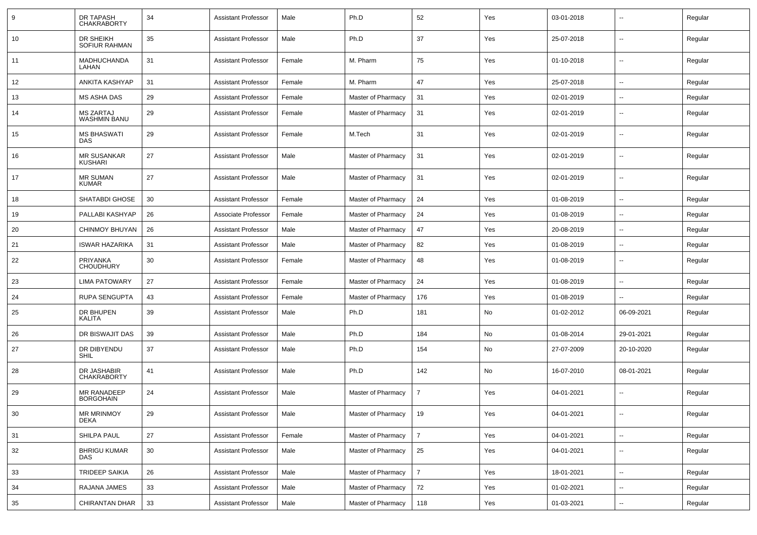| 9  | <b>DR TAPASH</b><br><b>CHAKRABORTY</b>  | 34 | Assistant Professor        | Male   | Ph.D                    | 52             | Yes | 03-01-2018 |                          | Regular |
|----|-----------------------------------------|----|----------------------------|--------|-------------------------|----------------|-----|------------|--------------------------|---------|
| 10 | DR SHEIKH<br><b>SOFIUR RAHMAN</b>       | 35 | <b>Assistant Professor</b> | Male   | Ph.D                    | 37             | Yes | 25-07-2018 | $\sim$                   | Regular |
| 11 | MADHUCHANDA<br>LAHAN                    | 31 | Assistant Professor        | Female | M. Pharm                | 75             | Yes | 01-10-2018 | $\sim$                   | Regular |
| 12 | ANKITA KASHYAP                          | 31 | <b>Assistant Professor</b> | Female | M. Pharm                | 47             | Yes | 25-07-2018 | $\sim$                   | Regular |
| 13 | MS ASHA DAS                             | 29 | <b>Assistant Professor</b> | Female | Master of Pharmacy      | 31             | Yes | 02-01-2019 | $\sim$                   | Regular |
| 14 | <b>MS ZARTAJ</b><br><b>WASHMIN BANU</b> | 29 | <b>Assistant Professor</b> | Female | Master of Pharmacy      | 31             | Yes | 02-01-2019 | $\sim$                   | Regular |
| 15 | <b>MS BHASWATI</b><br><b>DAS</b>        | 29 | <b>Assistant Professor</b> | Female | M.Tech                  | 31             | Yes | 02-01-2019 | $\sim$                   | Regular |
| 16 | <b>MR SUSANKAR</b><br>KUSHARI           | 27 | <b>Assistant Professor</b> | Male   | Master of Pharmacy      | 31             | Yes | 02-01-2019 | $\sim$                   | Regular |
| 17 | <b>MR SUMAN</b><br><b>KUMAR</b>         | 27 | <b>Assistant Professor</b> | Male   | Master of Pharmacy      | 31             | Yes | 02-01-2019 | $\sim$                   | Regular |
| 18 | SHATABDI GHOSE                          | 30 | <b>Assistant Professor</b> | Female | Master of Pharmacy      | 24             | Yes | 01-08-2019 | $\sim$                   | Regular |
| 19 | PALLABI KASHYAP                         | 26 | Associate Professor        | Female | Master of Pharmacy      | 24             | Yes | 01-08-2019 | $\overline{\phantom{a}}$ | Regular |
| 20 | <b>CHINMOY BHUYAN</b>                   | 26 | <b>Assistant Professor</b> | Male   | Master of Pharmacy      | 47             | Yes | 20-08-2019 | $\sim$                   | Regular |
| 21 | <b>ISWAR HAZARIKA</b>                   | 31 | <b>Assistant Professor</b> | Male   | Master of Pharmacy      | 82             | Yes | 01-08-2019 | $\sim$                   | Regular |
| 22 | PRIYANKA<br><b>CHOUDHURY</b>            | 30 | <b>Assistant Professor</b> | Female | Master of Pharmacy      | 48             | Yes | 01-08-2019 | $\overline{\phantom{a}}$ | Regular |
| 23 | <b>LIMA PATOWARY</b>                    | 27 | <b>Assistant Professor</b> | Female | Master of Pharmacy      | 24             | Yes | 01-08-2019 | $\sim$                   | Regular |
| 24 | <b>RUPA SENGUPTA</b>                    | 43 | <b>Assistant Professor</b> | Female | Master of Pharmacy      | 176            | Yes | 01-08-2019 |                          | Regular |
| 25 | DR BHUPEN<br>KALITA                     | 39 | <b>Assistant Professor</b> | Male   | Ph.D                    | 181            | No  | 01-02-2012 | 06-09-2021               | Regular |
| 26 | DR BISWAJIT DAS                         | 39 | <b>Assistant Professor</b> | Male   | Ph.D                    | 184            | No  | 01-08-2014 | 29-01-2021               | Regular |
| 27 | DR DIBYENDU<br>SHIL                     | 37 | <b>Assistant Professor</b> | Male   | Ph.D                    | 154            | No  | 27-07-2009 | 20-10-2020               | Regular |
| 28 | DR JASHABIR<br><b>CHAKRABORTY</b>       | 41 | <b>Assistant Professor</b> | Male   | Ph.D                    | 142            | No  | 16-07-2010 | 08-01-2021               | Regular |
| 29 | MR RANADEEP<br><b>BORGOHAIN</b>         | 24 | <b>Assistant Professor</b> | Male   | Master of Pharmacy      | 7              | Yes | 04-01-2021 | $\sim$                   | Regular |
| 30 | MR MRINMOY<br>DEKA                      | 29 | Assistant Professor        | Male   | Master of Pharmacy   19 |                | Yes | 04-01-2021 |                          | Regular |
| 31 | SHILPA PAUL                             | 27 | <b>Assistant Professor</b> | Female | Master of Pharmacy      | $\overline{7}$ | Yes | 04-01-2021 | $\sim$                   | Regular |
| 32 | <b>BHRIGU KUMAR</b><br>DAS              | 30 | <b>Assistant Professor</b> | Male   | Master of Pharmacy      | 25             | Yes | 04-01-2021 | $\sim$                   | Regular |
| 33 | TRIDEEP SAIKIA                          | 26 | <b>Assistant Professor</b> | Male   | Master of Pharmacy      | $\overline{7}$ | Yes | 18-01-2021 | $\sim$                   | Regular |
| 34 | RAJANA JAMES                            | 33 | <b>Assistant Professor</b> | Male   | Master of Pharmacy      | 72             | Yes | 01-02-2021 | $\overline{\phantom{a}}$ | Regular |
| 35 | CHIRANTAN DHAR                          | 33 | <b>Assistant Professor</b> | Male   | Master of Pharmacy      | 118            | Yes | 01-03-2021 | $\overline{\phantom{a}}$ | Regular |